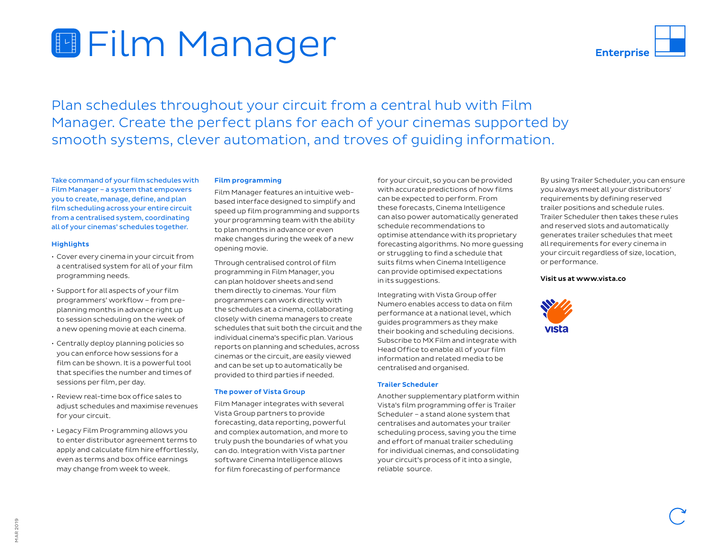# **Film Manager**

Plan schedules throughout your circuit from a central hub with Film Manager. Create the perfect plans for each of your cinemas supported by smooth systems, clever automation, and troves of guiding information.

Take command of your film schedules with Film Manager – a system that empowers you to create, manage, define, and plan film scheduling across your entire circuit from a centralised system, coordinating all of your cinemas' schedules together.

### **Highlights**

- Cover every cinema in your circuit from a centralised system for all of your film programming needs.
- Support for all aspects of your film programmers' workflow – from preplanning months in advance right up to session scheduling on the week of a new opening movie at each cinema.
- Centrally deploy planning policies so you can enforce how sessions for a film can be shown. It is a powerful tool that specifies the number and times of sessions per film, per day.
- Review real-time box office sales to adjust schedules and maximise revenues for your circuit.
- Legacy Film Programming allows you to enter distributor agreement terms to apply and calculate film hire effortlessly, even as terms and box office earnings may change from week to week.

#### Film programming

Film Manager features an intuitive webbased interface designed to simplify and speed up film programming and supports your programming team with the ability to plan months in advance or even make changes during the week of a new opening movie.

Through centralised control of film programming in Film Manager, you can plan holdover sheets and send them directly to cinemas. Your film programmers can work directly with the schedules at a cinema, collaborating closely with cinema managers to create schedules that suit both the circuit and the individual cinema's specific plan. Various reports on planning and schedules, across cinemas or the circuit, are easily viewed and can be set up to automatically be provided to third parties if needed.

#### The power of Vista Group

Film Manager integrates with several Vista Group partners to provide forecasting, data reporting, powerful and complex automation, and more to truly push the boundaries of what you can do. Integration with Vista partner software Cinema Intelligence allows for film forecasting of performance

for your circuit, so you can be provided with accurate predictions of how films can be expected to perform. From these forecasts, Cinema Intelligence can also power automatically generated schedule recommendations to optimise attendance with its proprietary forecasting algorithms. No more guessing or struggling to find a schedule that suits films when Cinema Intelligence can provide optimised expectations in its suggestions.

Integrating with Vista Group offer Numero enables access to data on film performance at a national level, which guides programmers as they make their booking and scheduling decisions. Subscribe to MX Film and integrate with Head Office to enable all of your film information and related media to be centralised and organised.

#### Trailer Scheduler

Another supplementary platform within Vista's film programming offer is Trailer Scheduler – a stand alone system that centralises and automates your trailer scheduling process, saving you the time and effort of manual trailer scheduling for individual cinemas, and consolidating your circuit's process of it into a single, reliable source.

By using Trailer Scheduler, you can ensure you always meet all your distributors' requirements by defining reserved trailer positions and schedule rules. Trailer Scheduler then takes these rules and reserved slots and automatically generates trailer schedules that meet all requirements for every cinema in your circuit regardless of size, location, or performance.

#### Visit us at www.vista.co